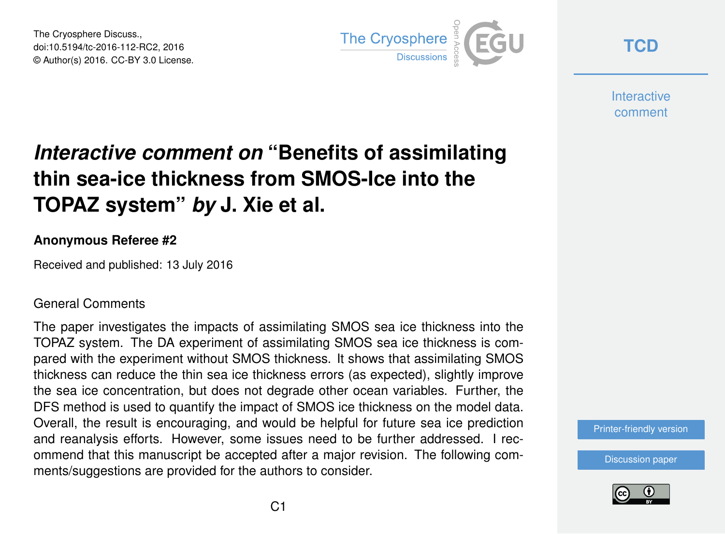The Cryosphere Discuss., doi:10.5194/tc-2016-112-RC2, 2016 © Author(s) 2016. CC-BY 3.0 License.



**[TCD](http://www.the-cryosphere-discuss.net/)**

**Interactive** comment

# *Interactive comment on* **"Benefits of assimilating thin sea-ice thickness from SMOS-Ice into the TOPAZ system"** *by* **J. Xie et al.**

#### **Anonymous Referee #2**

Received and published: 13 July 2016

#### General Comments

The paper investigates the impacts of assimilating SMOS sea ice thickness into the TOPAZ system. The DA experiment of assimilating SMOS sea ice thickness is compared with the experiment without SMOS thickness. It shows that assimilating SMOS thickness can reduce the thin sea ice thickness errors (as expected), slightly improve the sea ice concentration, but does not degrade other ocean variables. Further, the DFS method is used to quantify the impact of SMOS ice thickness on the model data. Overall, the result is encouraging, and would be helpful for future sea ice prediction and reanalysis efforts. However, some issues need to be further addressed. I recommend that this manuscript be accepted after a major revision. The following comments/suggestions are provided for the authors to consider.

[Printer-friendly version](http://www.the-cryosphere-discuss.net/tc-2016-112/tc-2016-112-RC2-print.pdf)

[Discussion paper](http://www.the-cryosphere-discuss.net/tc-2016-112)

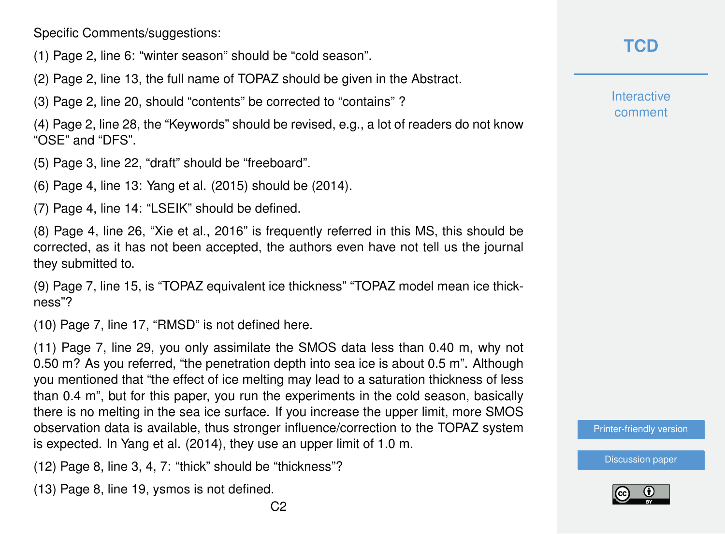Specific Comments/suggestions:

- (1) Page 2, line 6: "winter season" should be "cold season".
- (2) Page 2, line 13, the full name of TOPAZ should be given in the Abstract.
- (3) Page 2, line 20, should "contents" be corrected to "contains" ?

(4) Page 2, line 28, the "Keywords" should be revised, e.g., a lot of readers do not know "OSE" and "DFS".

- (5) Page 3, line 22, "draft" should be "freeboard".
- (6) Page 4, line 13: Yang et al. (2015) should be (2014).

(7) Page 4, line 14: "LSEIK" should be defined.

(8) Page 4, line 26, "Xie et al., 2016" is frequently referred in this MS, this should be corrected, as it has not been accepted, the authors even have not tell us the journal they submitted to.

(9) Page 7, line 15, is "TOPAZ equivalent ice thickness" "TOPAZ model mean ice thickness"?

(10) Page 7, line 17, "RMSD" is not defined here.

(11) Page 7, line 29, you only assimilate the SMOS data less than 0.40 m, why not 0.50 m? As you referred, "the penetration depth into sea ice is about 0.5 m". Although you mentioned that "the effect of ice melting may lead to a saturation thickness of less than 0.4 m", but for this paper, you run the experiments in the cold season, basically there is no melting in the sea ice surface. If you increase the upper limit, more SMOS observation data is available, thus stronger influence/correction to the TOPAZ system is expected. In Yang et al. (2014), they use an upper limit of 1.0 m.

- (12) Page 8, line 3, 4, 7: "thick" should be "thickness"?
- (13) Page 8, line 19, ysmos is not defined.

## **[TCD](http://www.the-cryosphere-discuss.net/)**

**Interactive** comment

[Printer-friendly version](http://www.the-cryosphere-discuss.net/tc-2016-112/tc-2016-112-RC2-print.pdf)